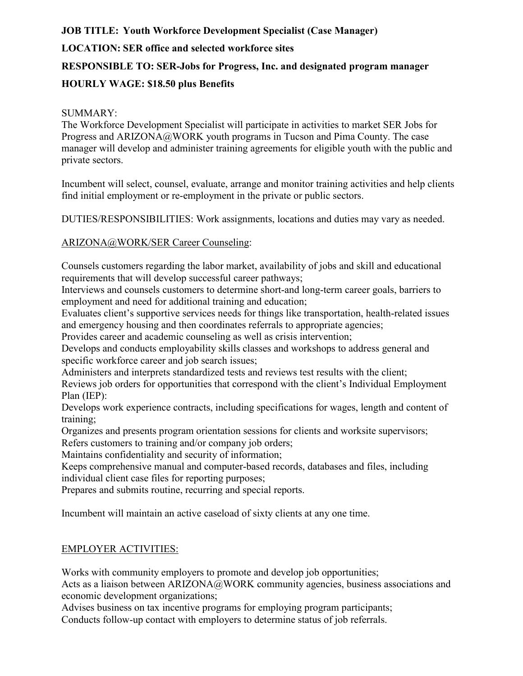# **JOB TITLE: Youth Workforce Development Specialist (Case Manager) LOCATION: SER office and selected workforce sites RESPONSIBLE TO: SER-Jobs for Progress, Inc. and designated program manager HOURLY WAGE: \$18.50 plus Benefits**

#### SUMMARY:

The Workforce Development Specialist will participate in activities to market SER Jobs for Progress and ARIZONA@WORK youth programs in Tucson and Pima County. The case manager will develop and administer training agreements for eligible youth with the public and private sectors.

Incumbent will select, counsel, evaluate, arrange and monitor training activities and help clients find initial employment or re-employment in the private or public sectors.

DUTIES/RESPONSIBILITIES: Work assignments, locations and duties may vary as needed.

#### ARIZONA@WORK/SER Career Counseling:

Counsels customers regarding the labor market, availability of jobs and skill and educational requirements that will develop successful career pathways;

Interviews and counsels customers to determine short-and long-term career goals, barriers to employment and need for additional training and education;

Evaluates client's supportive services needs for things like transportation, health-related issues and emergency housing and then coordinates referrals to appropriate agencies;

Provides career and academic counseling as well as crisis intervention;

Develops and conducts employability skills classes and workshops to address general and specific workforce career and job search issues;

Administers and interprets standardized tests and reviews test results with the client;

Reviews job orders for opportunities that correspond with the client's Individual Employment Plan (IEP):

Develops work experience contracts, including specifications for wages, length and content of training;

Organizes and presents program orientation sessions for clients and worksite supervisors; Refers customers to training and/or company job orders;

Maintains confidentiality and security of information;

Keeps comprehensive manual and computer-based records, databases and files, including individual client case files for reporting purposes;

Prepares and submits routine, recurring and special reports.

Incumbent will maintain an active caseload of sixty clients at any one time.

## EMPLOYER ACTIVITIES:

Works with community employers to promote and develop job opportunities;

Acts as a liaison between ARIZONA@WORK community agencies, business associations and economic development organizations;

Advises business on tax incentive programs for employing program participants; Conducts follow-up contact with employers to determine status of job referrals.